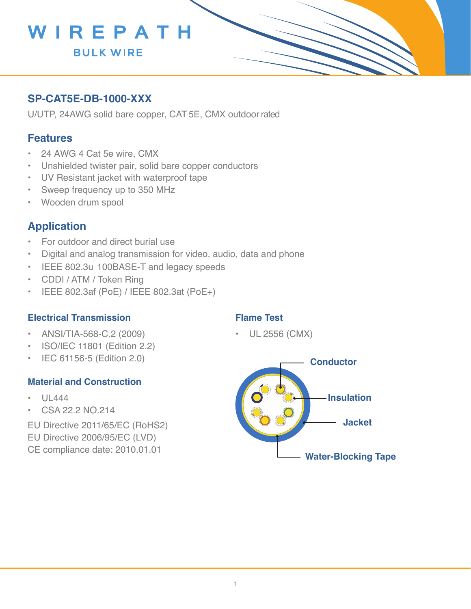

# **SP-CAT5E-DB-1000-XXX**

U/UTP, 24AWG solid bare copper, CAT 5E, CMX outdoor rated

## **Features**

- 24 AWG 4 Cat 5e wire, CMX
- Unshielded twister pair, solid bare copper conductors
- UV Resistant jacket with waterproof tape
- Sweep frequency up to 350 MHz
- Wooden drum spool

## **Application**

- For outdoor and direct burial use
- Digital and analog transmission for video, audio, data and phone
- IEEE 802.3u 100BASE-T and legacy speeds
- CDDI / ATM / Token Ring
- IEEE 802.3af (PoE) / IEEE 802.3at (PoE+)

#### **Electrical Transmission**

- ANSI/TIA-568-C.2 (2009)
- ISO/IEC 11801 (Edition 2.2)
- IEC 61156-5 (Edition 2.0)

#### **Material and Construction**

- UL444
- CSA 22.2 NO.214
- EU Directive 2011/65/EC (RoHS2)
- EU Directive 2006/95/EC (LVD)
- CE compliance date: 2010.01.01

### **Flame Test**

• UL 2556 (CMX)

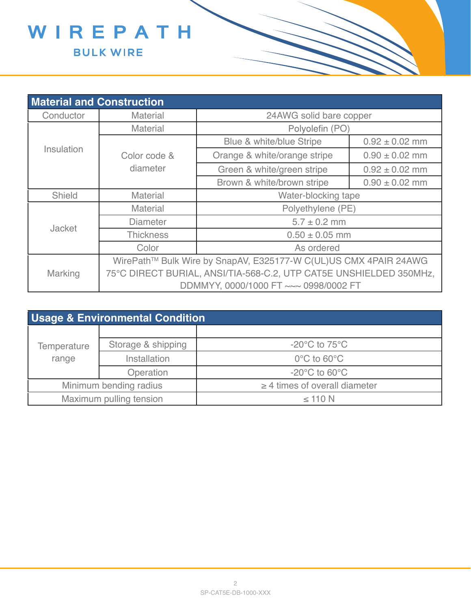

| <b>Material and Construction</b> |                                                                    |                              |                    |  |  |  |  |
|----------------------------------|--------------------------------------------------------------------|------------------------------|--------------------|--|--|--|--|
| Conductor                        | <b>Material</b>                                                    | 24AWG solid bare copper      |                    |  |  |  |  |
| Insulation                       | <b>Material</b>                                                    | Polyolefin (PO)              |                    |  |  |  |  |
|                                  |                                                                    | Blue & white/blue Stripe     | $0.92 \pm 0.02$ mm |  |  |  |  |
|                                  | Color code &                                                       | Orange & white/orange stripe | $0.90 \pm 0.02$ mm |  |  |  |  |
|                                  | diameter                                                           | Green & white/green stripe   | $0.92 \pm 0.02$ mm |  |  |  |  |
|                                  |                                                                    | Brown & white/brown stripe   | $0.90 \pm 0.02$ mm |  |  |  |  |
| Shield                           | <b>Material</b>                                                    | Water-blocking tape          |                    |  |  |  |  |
| <b>Jacket</b>                    | Polyethylene (PE)<br><b>Material</b>                               |                              |                    |  |  |  |  |
|                                  | $5.7 \pm 0.2$ mm<br><b>Diameter</b>                                |                              |                    |  |  |  |  |
|                                  | <b>Thickness</b>                                                   | $0.50 \pm 0.05$ mm           |                    |  |  |  |  |
|                                  | Color                                                              | As ordered                   |                    |  |  |  |  |
|                                  | WirePath™ Bulk Wire by SnapAV, E325177-W C(UL)US CMX 4PAIR 24AWG   |                              |                    |  |  |  |  |
| <b>Marking</b>                   | 75°C DIRECT BURIAL, ANSI/TIA-568-C.2, UTP CAT5E UNSHIELDED 350MHz, |                              |                    |  |  |  |  |
|                                  | DDMMYY, 0000/1000 FT ~~~ 0998/0002 FT                              |                              |                    |  |  |  |  |

| <b>Usage &amp; Environmental Condition</b> |                    |                                    |  |  |  |  |
|--------------------------------------------|--------------------|------------------------------------|--|--|--|--|
|                                            |                    |                                    |  |  |  |  |
| <b>Temperature</b>                         | Storage & shipping | $-20^{\circ}$ C to $75^{\circ}$ C  |  |  |  |  |
| range                                      | Installation       | $0^{\circ}$ C to 60 $^{\circ}$ C   |  |  |  |  |
|                                            | Operation          | $-20^{\circ}$ C to 60 $^{\circ}$ C |  |  |  |  |
| Minimum bending radius                     |                    | $\geq$ 4 times of overall diameter |  |  |  |  |
| Maximum pulling tension                    |                    | $\leq$ 110 N                       |  |  |  |  |